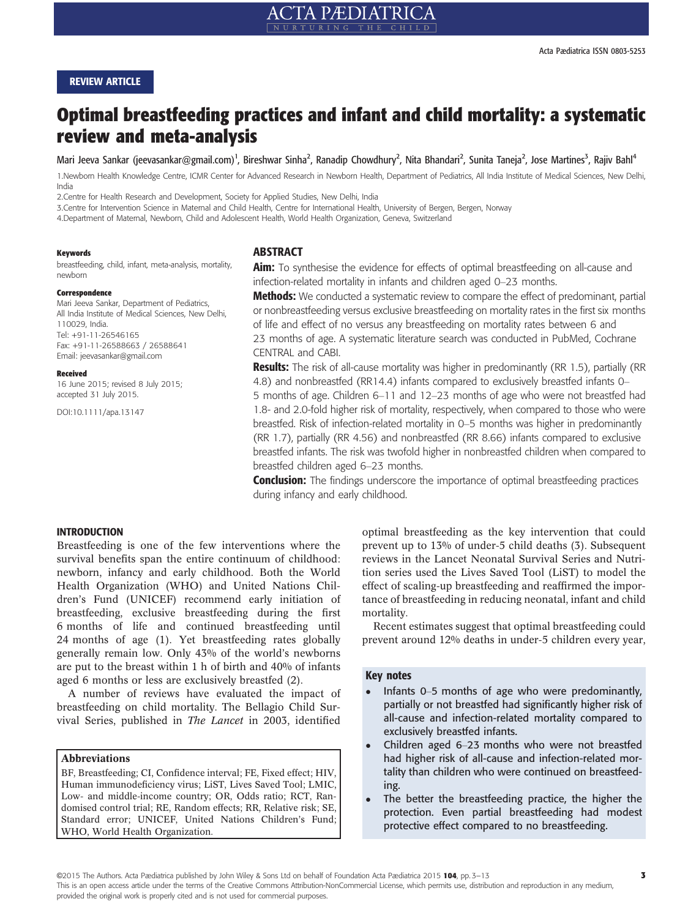#### REVIEW ARTICLE

# Optimal breastfeeding practices and infant and child mortality: a systematic review and meta-analysis

Mari Jeeva Sankar (jeevasankar@gmail.com)<sup>1</sup>, Bireshwar Sinha<sup>2</sup>, Ranadip Chowdhury<sup>2</sup>, Nita Bhandari<sup>2</sup>, Sunita Taneja<sup>2</sup>, Jose Martines<sup>3</sup>, Rajiv Bahl<sup>4</sup>

1.Newborn Health Knowledge Centre, ICMR Center for Advanced Research in Newborn Health, Department of Pediatrics, All India Institute of Medical Sciences, New Delhi, India

2.Centre for Health Research and Development, Society for Applied Studies, New Delhi, India

3.Centre for Intervention Science in Maternal and Child Health, Centre for International Health, University of Bergen, Bergen, Norway

4.Department of Maternal, Newborn, Child and Adolescent Health, World Health Organization, Geneva, Switzerland

#### Keywords

breastfeeding, child, infant, meta-analysis, mortality, newborn

#### Correspondence

Mari Jeeva Sankar, Department of Pediatrics, All India Institute of Medical Sciences, New Delhi, 110029, India. Tel: +91-11-26546165 Fax: +91-11-26588663 / 26588641 Email: jeevasankar@gmail.com

#### Received

16 June 2015; revised 8 July 2015; accepted 31 July 2015.

DOI:10.1111/apa.13147

#### ABSTRACT

**Aim:** To synthesise the evidence for effects of optimal breastfeeding on all-cause and infection-related mortality in infants and children aged 0–23 months.

**Methods:** We conducted a systematic review to compare the effect of predominant, partial or nonbreastfeeding versus exclusive breastfeeding on mortality rates in the first six months of life and effect of no versus any breastfeeding on mortality rates between 6 and 23 months of age. A systematic literature search was conducted in PubMed, Cochrane CENTRAL and CABI.

**Results:** The risk of all-cause mortality was higher in predominantly (RR 1.5), partially (RR 4.8) and nonbreastfed (RR14.4) infants compared to exclusively breastfed infants 0– 5 months of age. Children 6–11 and 12–23 months of age who were not breastfed had 1.8- and 2.0-fold higher risk of mortality, respectively, when compared to those who were breastfed. Risk of infection-related mortality in 0–5 months was higher in predominantly (RR 1.7), partially (RR 4.56) and nonbreastfed (RR 8.66) infants compared to exclusive breastfed infants. The risk was twofold higher in nonbreastfed children when compared to breastfed children aged 6–23 months.

**Conclusion:** The findings underscore the importance of optimal breastfeeding practices during infancy and early childhood.

#### INTRODUCTION

Breastfeeding is one of the few interventions where the survival benefits span the entire continuum of childhood: newborn, infancy and early childhood. Both the World Health Organization (WHO) and United Nations Children's Fund (UNICEF) recommend early initiation of breastfeeding, exclusive breastfeeding during the first 6 months of life and continued breastfeeding until 24 months of age (1). Yet breastfeeding rates globally generally remain low. Only 43% of the world's newborns are put to the breast within 1 h of birth and 40% of infants aged 6 months or less are exclusively breastfed (2).

A number of reviews have evaluated the impact of breastfeeding on child mortality. The Bellagio Child Survival Series, published in The Lancet in 2003, identified

#### Abbreviations

BF, Breastfeeding; CI, Confidence interval; FE, Fixed effect; HIV, Human immunodeficiency virus; LiST, Lives Saved Tool; LMIC, Low- and middle-income country; OR, Odds ratio; RCT, Randomised control trial; RE, Random effects; RR, Relative risk; SE, Standard error; UNICEF, United Nations Children's Fund; WHO, World Health Organization.

optimal breastfeeding as the key intervention that could prevent up to 13% of under-5 child deaths (3). Subsequent reviews in the Lancet Neonatal Survival Series and Nutrition series used the Lives Saved Tool (LiST) to model the effect of scaling-up breastfeeding and reaffirmed the importance of breastfeeding in reducing neonatal, infant and child mortality.

Recent estimates suggest that optimal breastfeeding could prevent around 12% deaths in under-5 children every year,

## Key notes

- Infants 0–5 months of age who were predominantly, partially or not breastfed had significantly higher risk of all-cause and infection-related mortality compared to exclusively breastfed infants.
- Children aged 6–23 months who were not breastfed had higher risk of all-cause and infection-related mortality than children who were continued on breastfeeding.
- The better the breastfeeding practice, the higher the protection. Even partial breastfeeding had modest protective effect compared to no breastfeeding.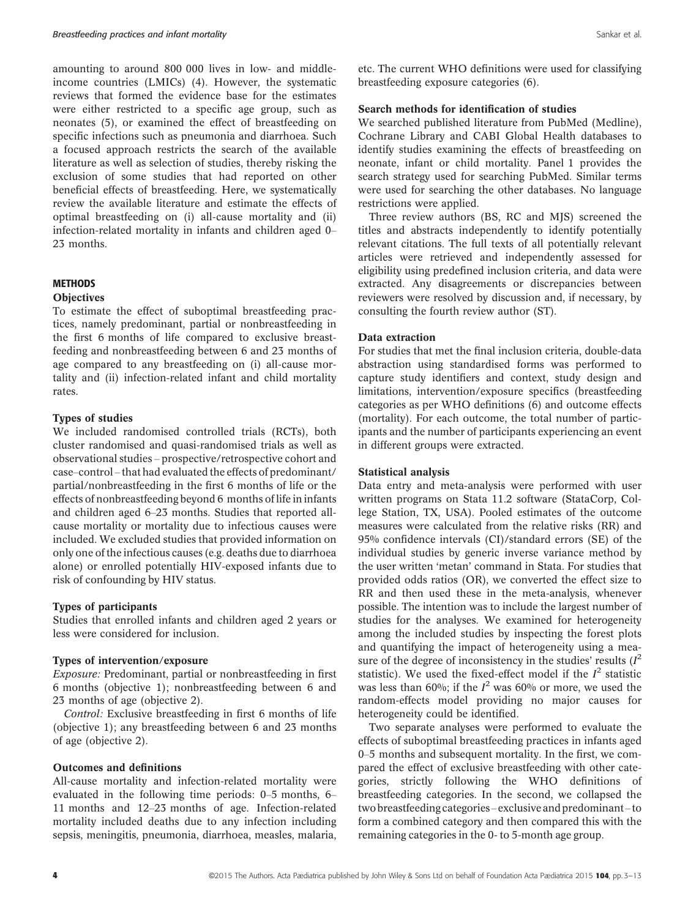amounting to around 800 000 lives in low- and middleincome countries (LMICs) (4). However, the systematic reviews that formed the evidence base for the estimates were either restricted to a specific age group, such as neonates (5), or examined the effect of breastfeeding on specific infections such as pneumonia and diarrhoea. Such a focused approach restricts the search of the available literature as well as selection of studies, thereby risking the exclusion of some studies that had reported on other beneficial effects of breastfeeding. Here, we systematically review the available literature and estimate the effects of optimal breastfeeding on (i) all-cause mortality and (ii) infection-related mortality in infants and children aged 0– 23 months.

## **METHODS**

## **Objectives**

To estimate the effect of suboptimal breastfeeding practices, namely predominant, partial or nonbreastfeeding in the first 6 months of life compared to exclusive breastfeeding and nonbreastfeeding between 6 and 23 months of age compared to any breastfeeding on (i) all-cause mortality and (ii) infection-related infant and child mortality rates.

## Types of studies

We included randomised controlled trials (RCTs), both cluster randomised and quasi-randomised trials as well as observational studies – prospective/retrospective cohort and case–control – that had evaluated the effects of predominant/ partial/nonbreastfeeding in the first 6 months of life or the effects of nonbreastfeeding beyond 6 months of life in infants and children aged 6–23 months. Studies that reported allcause mortality or mortality due to infectious causes were included. We excluded studies that provided information on only one of the infectious causes (e.g. deaths due to diarrhoea alone) or enrolled potentially HIV-exposed infants due to risk of confounding by HIV status.

#### Types of participants

Studies that enrolled infants and children aged 2 years or less were considered for inclusion.

#### Types of intervention/exposure

Exposure: Predominant, partial or nonbreastfeeding in first 6 months (objective 1); nonbreastfeeding between 6 and 23 months of age (objective 2).

Control: Exclusive breastfeeding in first 6 months of life (objective 1); any breastfeeding between 6 and 23 months of age (objective 2).

#### Outcomes and definitions

All-cause mortality and infection-related mortality were evaluated in the following time periods: 0–5 months, 6– 11 months and 12–23 months of age. Infection-related mortality included deaths due to any infection including sepsis, meningitis, pneumonia, diarrhoea, measles, malaria, etc. The current WHO definitions were used for classifying breastfeeding exposure categories (6).

## Search methods for identification of studies

We searched published literature from PubMed (Medline), Cochrane Library and CABI Global Health databases to identify studies examining the effects of breastfeeding on neonate, infant or child mortality. Panel 1 provides the search strategy used for searching PubMed. Similar terms were used for searching the other databases. No language restrictions were applied.

Three review authors (BS, RC and MJS) screened the titles and abstracts independently to identify potentially relevant citations. The full texts of all potentially relevant articles were retrieved and independently assessed for eligibility using predefined inclusion criteria, and data were extracted. Any disagreements or discrepancies between reviewers were resolved by discussion and, if necessary, by consulting the fourth review author (ST).

#### Data extraction

For studies that met the final inclusion criteria, double-data abstraction using standardised forms was performed to capture study identifiers and context, study design and limitations, intervention/exposure specifics (breastfeeding categories as per WHO definitions (6) and outcome effects (mortality). For each outcome, the total number of participants and the number of participants experiencing an event in different groups were extracted.

#### Statistical analysis

Data entry and meta-analysis were performed with user written programs on Stata 11.2 software (StataCorp, College Station, TX, USA). Pooled estimates of the outcome measures were calculated from the relative risks (RR) and 95% confidence intervals (CI)/standard errors (SE) of the individual studies by generic inverse variance method by the user written 'metan' command in Stata. For studies that provided odds ratios (OR), we converted the effect size to RR and then used these in the meta-analysis, whenever possible. The intention was to include the largest number of studies for the analyses. We examined for heterogeneity among the included studies by inspecting the forest plots and quantifying the impact of heterogeneity using a measure of the degree of inconsistency in the studies' results  $(I^2)$ statistic). We used the fixed-effect model if the  $I^2$  statistic was less than 60%; if the  $I^2$  was 60% or more, we used the random-effects model providing no major causes for heterogeneity could be identified.

Two separate analyses were performed to evaluate the effects of suboptimal breastfeeding practices in infants aged 0–5 months and subsequent mortality. In the first, we compared the effect of exclusive breastfeeding with other categories, strictly following the WHO definitions of breastfeeding categories. In the second, we collapsed the two breastfeeding categories – exclusive and predominant – to form a combined category and then compared this with the remaining categories in the 0- to 5-month age group.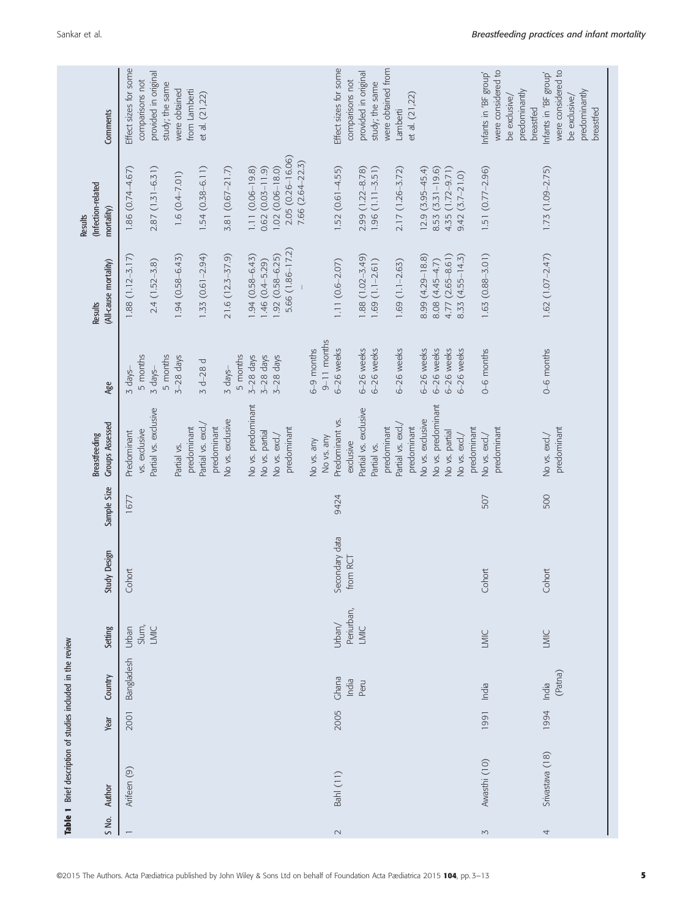|                          | Table 1 Brief description of studies included in the review |      |                  |            |                            |             |                              |                 |                         |                                      |                                                              |
|--------------------------|-------------------------------------------------------------|------|------------------|------------|----------------------------|-------------|------------------------------|-----------------|-------------------------|--------------------------------------|--------------------------------------------------------------|
|                          |                                                             |      |                  |            |                            |             | <b>Breastfeeding</b>         |                 | Results                 | (Infection-related<br><b>Results</b> |                                                              |
| S No.                    | Author                                                      | Year | Country          | Setting    | Study Design               | Sample Size | <b>Groups Assessed</b>       | Age             | (All-cause mortality)   | mortality)                           | Comments                                                     |
| $\overline{\phantom{m}}$ | Arifeen (9)                                                 | 2001 | Bangladesh       | Urban      | Cohort                     | 1677        | Predominant                  | $3$ days-       | $1.88(1.12 - 3.17)$     | $1.86(0.74 - 4.67)$                  | Effect sizes for some                                        |
|                          |                                                             |      |                  | Slum,      |                            |             | vs. exdusive                 | 5 months        |                         |                                      | comparisons not                                              |
|                          |                                                             |      |                  | LMIC       |                            |             | Partial vs. exclusive        | $3$ days-       | $2.4(1.52 - 3.8)$       | $2.87(1.31 - 6.31)$                  | provided in original                                         |
|                          |                                                             |      |                  |            |                            |             |                              | 5 months        |                         |                                      | study; the same                                              |
|                          |                                                             |      |                  |            |                            |             | Partial vs.                  | $3-28$ days     | $1.94(0.58 - 6.43)$     | $1.6(0.4 - 7.01)$                    | were obtained                                                |
|                          |                                                             |      |                  |            |                            |             | predominant                  |                 |                         |                                      | from Lamberti                                                |
|                          |                                                             |      |                  |            |                            |             | Partial vs. excl./           | $3 d - 28 d$    | $1.33(0.61 - 2.94)$     | $1.54(0.38 - 6.11)$                  | et al. (21,22)                                               |
|                          |                                                             |      |                  |            |                            |             | predominant                  |                 |                         |                                      |                                                              |
|                          |                                                             |      |                  |            |                            |             | No vs. exclusive             | $3$ days-       | $21.6(12.3 - 37.9)$     | $3.81(0.67 - 21.7)$                  |                                                              |
|                          |                                                             |      |                  |            |                            |             |                              | 5 months        |                         |                                      |                                                              |
|                          |                                                             |      |                  |            |                            |             | No vs. predominant           | $3-28$ days     | 1.94 (0.58-6.43)        | $1.11(0.06-19.8)$                    |                                                              |
|                          |                                                             |      |                  |            |                            |             | No vs. partial               | $3-28$ days     | $1.46(0.4 - 5.29)$      | $0.62(0.03 - 11.9)$                  |                                                              |
|                          |                                                             |      |                  |            |                            |             | No vs. excl./                | $3-28$ days     | $1.92(0.58 - 6.25)$     | $1.02(0.06 - 18.0)$                  |                                                              |
|                          |                                                             |      |                  |            |                            |             | predominant                  |                 | 5.66 (1.86-17.2)        | 2.05 (0.26-16.06)                    |                                                              |
|                          |                                                             |      |                  |            |                            |             |                              |                 |                         | 7.66 (2.64-22.3)                     |                                                              |
|                          |                                                             |      |                  |            |                            |             | No vs. any                   | 6-9 months      |                         |                                      |                                                              |
|                          |                                                             |      |                  |            |                            |             | No vs. any                   | $9 - 11$ months |                         |                                      |                                                              |
| $\sim$                   | <b>Bahl</b> (11)                                            | 2005 | Ghana            | Urban/     | Secondary data<br>from RCT | 9424        | Predominant vs.              | 6-26 weeks      | $1.11(0.6-2.07)$        | $1.52(0.61 - 4.55)$                  | Effect sizes for some                                        |
|                          |                                                             |      | India            | Periurban, |                            |             | exdusive                     |                 |                         |                                      | comparisons not                                              |
|                          |                                                             |      | Peru             | LMIC       |                            |             | Partial vs. exclusive        | 6-26 weeks      | $1.88(1.02 - 3.49)$     | 2.99 (1.22-8.78)                     | provided in original                                         |
|                          |                                                             |      |                  |            |                            |             | Partial vs.                  | 6-26 weeks      | $1.69(1.1-2.61)$        | $1.96(1.11 - 3.51)$                  | study; the same                                              |
|                          |                                                             |      |                  |            |                            |             | predominant                  |                 |                         |                                      | were obtained from                                           |
|                          |                                                             |      |                  |            |                            |             | Partial vs. excl./           | 6-26 weeks      | $1.69(1.1-2.63)$        | $2.17(1.26-3.72)$                    | Lamberti                                                     |
|                          |                                                             |      |                  |            |                            |             | predominant                  |                 |                         |                                      | et al. (21,22)                                               |
|                          |                                                             |      |                  |            |                            |             | <b>Vo vs. exclusive</b>      | 6-26 weeks      | 8.99 (4.29-18.8)        | $12.9(3.95 - 45.4)$                  |                                                              |
|                          |                                                             |      |                  |            |                            |             | No vs. predominant           | 6-26 weeks      | 8.08 (4.45-4.7)         | $8.53(3.31-19.6)$                    |                                                              |
|                          |                                                             |      |                  |            |                            |             | No vs. partial               | 6-26 weeks      | 4.77 (2.65-8.61)        | 4.35 (1.72-9.71)                     |                                                              |
|                          |                                                             |      |                  |            |                            |             | No vs. excl./                | 6-26 weeks      | $(4.55 - 14.3)$<br>8.33 | $9.42(3.7-21.0)$                     |                                                              |
|                          |                                                             |      |                  |            |                            |             | predominant                  |                 |                         |                                      |                                                              |
| $\sim$                   | Awasthi (10)                                                | 1991 | India            | LMIC       | Cohort                     | 507         | No vs. excl./                | $0 - 6$ months  | $1.63(0.88 - 3.01)$     | $1.51(0.77-2.96)$                    | Infants in 'BF group'                                        |
|                          |                                                             |      |                  |            |                            |             | predominant                  |                 |                         |                                      | were considered to                                           |
|                          |                                                             |      |                  |            |                            |             |                              |                 |                         |                                      | be exclusive/                                                |
|                          |                                                             |      |                  |            |                            |             |                              |                 |                         |                                      | predominantly<br>breastfed                                   |
|                          |                                                             |      |                  |            |                            |             |                              |                 |                         |                                      |                                                              |
| 4                        | Srivastava (18)                                             | 1994 | (Patna)<br>India | LMIC       | Cohort                     | 500         | predominant<br>No vs. excl./ | 0-6 months      | $1.62(1.07 - 2.47)$     | $1.73(1.09 - 2.75)$                  | were considered to<br>Infants in 'BF group'<br>be exclusive/ |
|                          |                                                             |      |                  |            |                            |             |                              |                 |                         |                                      | predominantly                                                |
|                          |                                                             |      |                  |            |                            |             |                              |                 |                         |                                      | breastfed                                                    |
|                          |                                                             |      |                  |            |                            |             |                              |                 |                         |                                      |                                                              |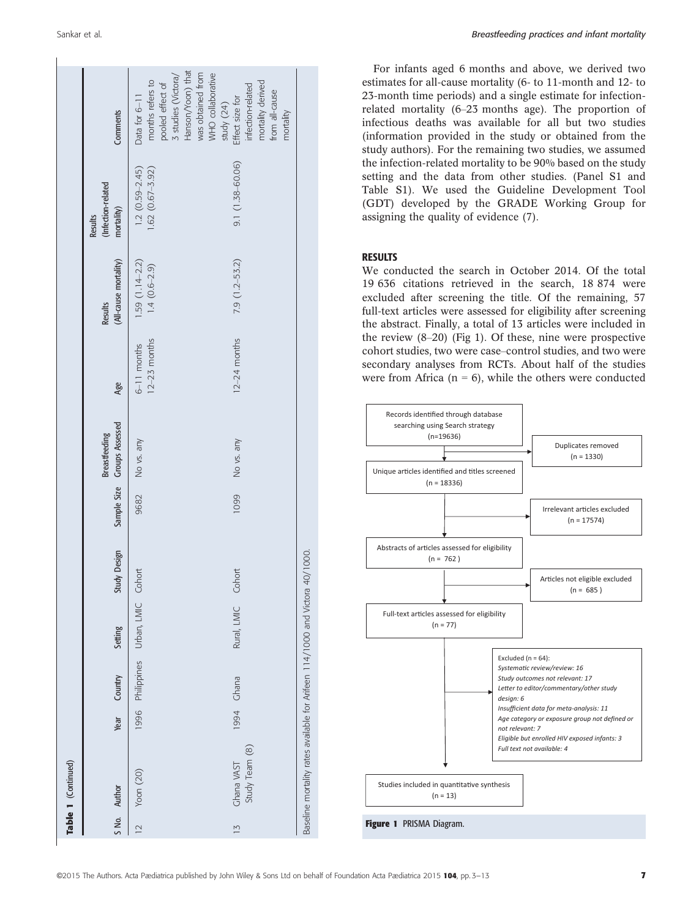|               | Table 1 (Continued)                                                 |      |            |                                     |              |      |                                                     |                                 |                                    |                                             |                                                                                                                                             |
|---------------|---------------------------------------------------------------------|------|------------|-------------------------------------|--------------|------|-----------------------------------------------------|---------------------------------|------------------------------------|---------------------------------------------|---------------------------------------------------------------------------------------------------------------------------------------------|
|               | S No. Author                                                        | Year | Country    | Setting                             | Study Design |      | Sample Size Groups Assessed<br><b>Breastfeeding</b> | Age                             | (All-cause mortality)<br>Results   | (Infection-related<br>mortality)<br>Results | Comments                                                                                                                                    |
| $\geq$        | Yoon (20)                                                           |      |            | 1996 Philippines Urban, LMIC Cohort |              | 9682 | No vs. any                                          | $12-23$ months<br>$6-11$ months | $1.59(1.14-2.2)$<br>$1.4(0.6-2.9)$ | $1.62(0.67 - 3.92)$<br>$1.2(0.59 - 2.45)$   | Hanson/Yoon) that<br>was obtained from<br>WHO collaborative<br>3 studies (Victora/<br>months refers to<br>pooled effect of<br>Data for 6-11 |
| $\frac{1}{2}$ | Study Team (8)<br>Ghana VAST                                        |      | 1994 Chana | Rural, LMIC                         | Cohort       | 1099 | No vs. any                                          | $12-24$ months                  | $7.9(1.2 - 53.2)$                  | $9.1(1.38 - 60.06)$                         | mortality derived<br>infection-related<br>from all-cause<br>study (24)<br>Effect size for<br>mortality                                      |
|               | Baseline mortality rates available for Arifeen 114/1000 and Victora |      |            |                                     | 40/1000.     |      |                                                     |                                 |                                    |                                             |                                                                                                                                             |

For infants aged 6 months and above, we derived two estimates for all-cause mortality (6- to 11-month and 12- to 23-month time periods) and a single estimate for infectionrelated mortality (6–23 months age). The proportion of infectious deaths was available for all but two studies (information provided in the study or obtained from the study authors). For the remaining two studies, we assumed the infection-related mortality to be 90% based on the study setting and the data from other studies. (Panel S1 and Table S1). We used the Guideline Development Tool (GDT) developed by the GRADE Working Group for assigning the quality of evidence (7).

#### RESULTS

We conducted the search in October 2014. Of the total 19 636 citations retrieved in the search, 18 874 were excluded after screening the title. Of the remaining, 57 full-text articles were assessed for eligibility after screening the abstract. Finally, a total of 13 articles were included in the review (8–20) (Fig 1). Of these, nine were prospective cohort studies, two were case–control studies, and two were secondary analyses from RCTs. About half of the studies were from Africa ( $n = 6$ ), while the others were conducted

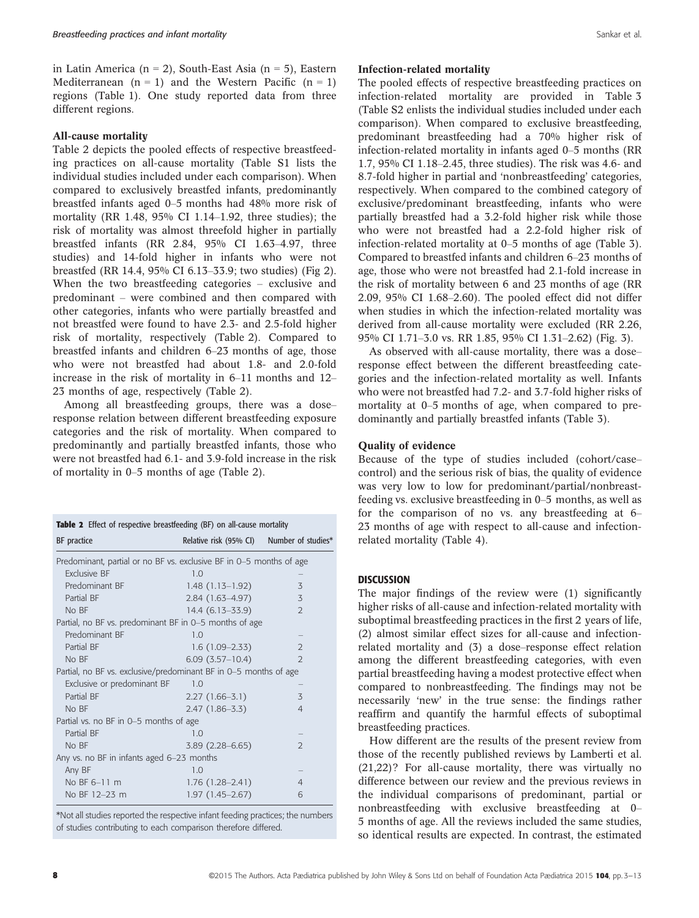in Latin America ( $n = 2$ ), South-East Asia ( $n = 5$ ), Eastern Mediterranean  $(n = 1)$  and the Western Pacific  $(n = 1)$ regions (Table 1). One study reported data from three different regions.

#### All-cause mortality

Table 2 depicts the pooled effects of respective breastfeeding practices on all-cause mortality (Table S1 lists the individual studies included under each comparison). When compared to exclusively breastfed infants, predominantly breastfed infants aged 0–5 months had 48% more risk of mortality (RR 1.48, 95% CI 1.14–1.92, three studies); the risk of mortality was almost threefold higher in partially breastfed infants (RR 2.84, 95% CI 1.63–4.97, three studies) and 14-fold higher in infants who were not breastfed (RR 14.4, 95% CI 6.13–33.9; two studies) (Fig 2). When the two breastfeeding categories – exclusive and predominant – were combined and then compared with other categories, infants who were partially breastfed and not breastfed were found to have 2.3- and 2.5-fold higher risk of mortality, respectively (Table 2). Compared to breastfed infants and children 6–23 months of age, those who were not breastfed had about 1.8- and 2.0-fold increase in the risk of mortality in 6–11 months and 12– 23 months of age, respectively (Table 2).

Among all breastfeeding groups, there was a dose– response relation between different breastfeeding exposure categories and the risk of mortality. When compared to predominantly and partially breastfed infants, those who were not breastfed had 6.1- and 3.9-fold increase in the risk of mortality in 0–5 months of age (Table 2).

| <b>Table 2</b> Effect of respective breastfeeding (BF) on all-cause mortality |                                           |                |  |  |  |  |  |  |  |
|-------------------------------------------------------------------------------|-------------------------------------------|----------------|--|--|--|--|--|--|--|
| BF practice                                                                   | Relative risk (95% CI) Number of studies* |                |  |  |  |  |  |  |  |
| Predominant, partial or no BF vs. exclusive BF in 0–5 months of age           |                                           |                |  |  |  |  |  |  |  |
| <b>Exclusive BE</b>                                                           | 1.0                                       |                |  |  |  |  |  |  |  |
| Predominant BF                                                                | $1.48(1.13-1.92)$                         | 3              |  |  |  |  |  |  |  |
| Partial BF                                                                    | $2.84(1.63-4.97)$                         | 3              |  |  |  |  |  |  |  |
| No BF                                                                         | $14.4(6.13 - 33.9)$                       | $\mathcal{L}$  |  |  |  |  |  |  |  |
| Partial, no BF vs. predominant BF in 0-5 months of age                        |                                           |                |  |  |  |  |  |  |  |
| Predominant BF                                                                | 1.0                                       |                |  |  |  |  |  |  |  |
| Partial BF                                                                    | $1.6(1.09-2.33)$                          | $\overline{2}$ |  |  |  |  |  |  |  |
| No BF                                                                         | $6.09(3.57-10.4)$                         | $\mathcal{P}$  |  |  |  |  |  |  |  |
| Partial, no BF vs. exclusive/predominant BF in 0-5 months of age              |                                           |                |  |  |  |  |  |  |  |
| Exclusive or predominant BF                                                   | 1.0                                       |                |  |  |  |  |  |  |  |
| Partial BF                                                                    | $2.27(1.66-3.1)$                          | 3              |  |  |  |  |  |  |  |
| No BF                                                                         | $2.47(1.86 - 3.3)$                        | $\overline{4}$ |  |  |  |  |  |  |  |
| Partial vs. no BF in 0-5 months of age                                        |                                           |                |  |  |  |  |  |  |  |
| Partial BF                                                                    | 1.0                                       |                |  |  |  |  |  |  |  |
| No BF                                                                         | $3.89(2.28 - 6.65)$                       | $\mathcal{L}$  |  |  |  |  |  |  |  |
| Any vs. no BF in infants aged $6-23$ months                                   |                                           |                |  |  |  |  |  |  |  |
| Any BF                                                                        | 1.0                                       |                |  |  |  |  |  |  |  |
| No BF 6-11 m                                                                  | $1.76(1.28 - 2.41)$                       | $\overline{4}$ |  |  |  |  |  |  |  |
| No BF 12-23 m                                                                 | $1.97(1.45 - 2.67)$                       | 6              |  |  |  |  |  |  |  |

\*Not all studies reported the respective infant feeding practices; the numbers of studies contributing to each comparison therefore differed.

#### Infection-related mortality

The pooled effects of respective breastfeeding practices on infection-related mortality are provided in Table 3 (Table S2 enlists the individual studies included under each comparison). When compared to exclusive breastfeeding, predominant breastfeeding had a 70% higher risk of infection-related mortality in infants aged 0–5 months (RR 1.7, 95% CI 1.18–2.45, three studies). The risk was 4.6- and 8.7-fold higher in partial and 'nonbreastfeeding' categories, respectively. When compared to the combined category of exclusive/predominant breastfeeding, infants who were partially breastfed had a 3.2-fold higher risk while those who were not breastfed had a 2.2-fold higher risk of infection-related mortality at 0–5 months of age (Table 3). Compared to breastfed infants and children 6–23 months of age, those who were not breastfed had 2.1-fold increase in the risk of mortality between 6 and 23 months of age (RR 2.09, 95% CI 1.68–2.60). The pooled effect did not differ when studies in which the infection-related mortality was derived from all-cause mortality were excluded (RR 2.26, 95% CI 1.71–3.0 vs. RR 1.85, 95% CI 1.31–2.62) (Fig. 3).

As observed with all-cause mortality, there was a dose– response effect between the different breastfeeding categories and the infection-related mortality as well. Infants who were not breastfed had 7.2- and 3.7-fold higher risks of mortality at 0–5 months of age, when compared to predominantly and partially breastfed infants (Table 3).

## Quality of evidence

Because of the type of studies included (cohort/case– control) and the serious risk of bias, the quality of evidence was very low to low for predominant/partial/nonbreastfeeding vs. exclusive breastfeeding in 0–5 months, as well as for the comparison of no vs. any breastfeeding at 6– 23 months of age with respect to all-cause and infectionrelated mortality (Table 4).

#### **DISCUSSION**

The major findings of the review were (1) significantly higher risks of all-cause and infection-related mortality with suboptimal breastfeeding practices in the first 2 years of life, (2) almost similar effect sizes for all-cause and infectionrelated mortality and (3) a dose–response effect relation among the different breastfeeding categories, with even partial breastfeeding having a modest protective effect when compared to nonbreastfeeding. The findings may not be necessarily 'new' in the true sense: the findings rather reaffirm and quantify the harmful effects of suboptimal breastfeeding practices.

How different are the results of the present review from those of the recently published reviews by Lamberti et al. (21,22)? For all-cause mortality, there was virtually no difference between our review and the previous reviews in the individual comparisons of predominant, partial or nonbreastfeeding with exclusive breastfeeding at 0– 5 months of age. All the reviews included the same studies, so identical results are expected. In contrast, the estimated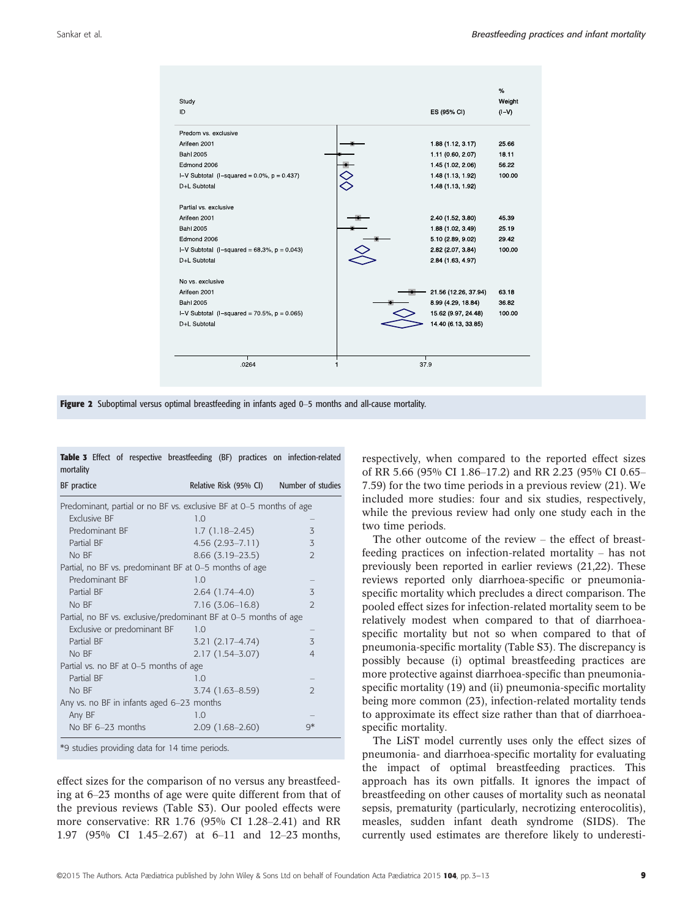| Study<br>ID                                       | ES (95% CI)          | %<br>Weight<br>(IV) |
|---------------------------------------------------|----------------------|---------------------|
| Predom vs. exclusive                              |                      |                     |
| Arifeen 2001                                      | 1.88 (1.12, 3.17)    | 25.66               |
| <b>Bahl 2005</b>                                  | 1.11 (0.60, 2.07)    | 18.11               |
| Edmond 2006                                       | 1.45 (1.02, 2.06)    | 56.22               |
| I-V Subtotal $(I-squared = 0.0\%, p = 0.437)$     | 1.48 (1.13, 1.92)    | 100.00              |
| D+L Subtotal                                      | 1.48 (1.13, 1.92)    |                     |
| Partial vs. exclusive                             |                      |                     |
| Arifeen 2001                                      | 2 40 (1 52, 3 80)    | 45.39               |
| <b>Bah</b> 2005                                   | 1.88 (1.02, 3.49)    | 25.19               |
| Edmond 2006                                       | 5.10 (2.89, 9.02)    | 29.42               |
| I-V Subtotal $(I - squared = 68.3\% , p = 0.043)$ | 2.82 (2.07, 3.84)    | 100.00              |
| D+L Subtotal                                      | 2.84 (1.63, 4.97)    |                     |
| No vs. exclusive                                  |                      |                     |
| Arifeen 2001                                      | 21.56 (12.26, 37.94) | 63.18               |
| Bahl 2005                                         | 8.99 (4.29, 18.84)   | 36.82               |
| I-V Subtotal $(I-squared = 70.5\% , p = 0.065)$   | 15 62 (9.97, 24.48)  | 100.00              |
| D+L Subtotal                                      | 14.40 (6.13, 33.85)  |                     |
| 0264                                              | 379                  |                     |

Figure 2 Suboptimal versus optimal breastfeeding in infants aged 0–5 months and all-cause mortality.

|           |  |  |  | <b>Table 3</b> Effect of respective breastfeeding (BF) practices on infection-related |
|-----------|--|--|--|---------------------------------------------------------------------------------------|
| mortality |  |  |  |                                                                                       |

| BF practice                                                         | Relative Risk (95% CI) | Number of studies |
|---------------------------------------------------------------------|------------------------|-------------------|
| Predominant, partial or no BF vs. exclusive BF at 0–5 months of age |                        |                   |
| Exclusive BF                                                        | 1.0                    |                   |
| Predominant BF                                                      | $1.7(1.18-2.45)$       | 3                 |
| Partial BF                                                          | $4.56(2.93 - 7.11)$    | 3                 |
| No BF                                                               | $8.66(3.19-23.5)$      | $\overline{2}$    |
| Partial, no BF vs. predominant BF at 0-5 months of age              |                        |                   |
| Predominant BF                                                      | 1.0                    |                   |
| Partial BF                                                          | $2.64(1.74-4.0)$       | 3                 |
| No BF                                                               | $7.16(3.06 - 16.8)$    | $\overline{2}$    |
| Partial, no BF vs. exclusive/predominant BF at 0-5 months of age    |                        |                   |
| Exclusive or predominant BF                                         | 1.0                    |                   |
| Partial BF                                                          | $3.21(2.17-4.74)$      | 3                 |
| No BF                                                               | $2.17(1.54 - 3.07)$    | $\overline{4}$    |
| Partial vs. no BF at 0–5 months of age                              |                        |                   |
| Partial BF                                                          | 1.0                    |                   |
| No BF                                                               | 3.74 (1.63-8.59)       | 2                 |
| Any vs. no BF in infants aged $6-23$ months                         |                        |                   |
| Any BF                                                              | 1.0                    |                   |
| No BF 6-23 months                                                   | $2.09(1.68-2.60)$      | q*                |

\*9 studies providing data for 14 time periods.

effect sizes for the comparison of no versus any breastfeeding at 6–23 months of age were quite different from that of the previous reviews (Table S3). Our pooled effects were more conservative: RR 1.76 (95% CI 1.28–2.41) and RR 1.97 (95% CI 1.45–2.67) at 6–11 and 12–23 months, respectively, when compared to the reported effect sizes of RR 5.66 (95% CI 1.86–17.2) and RR 2.23 (95% CI 0.65– 7.59) for the two time periods in a previous review (21). We included more studies: four and six studies, respectively, while the previous review had only one study each in the two time periods.

The other outcome of the review – the effect of breastfeeding practices on infection-related mortality – has not previously been reported in earlier reviews (21,22). These reviews reported only diarrhoea-specific or pneumoniaspecific mortality which precludes a direct comparison. The pooled effect sizes for infection-related mortality seem to be relatively modest when compared to that of diarrhoeaspecific mortality but not so when compared to that of pneumonia-specific mortality (Table S3). The discrepancy is possibly because (i) optimal breastfeeding practices are more protective against diarrhoea-specific than pneumoniaspecific mortality (19) and (ii) pneumonia-specific mortality being more common (23), infection-related mortality tends to approximate its effect size rather than that of diarrhoeaspecific mortality.

The LiST model currently uses only the effect sizes of pneumonia- and diarrhoea-specific mortality for evaluating the impact of optimal breastfeeding practices. This approach has its own pitfalls. It ignores the impact of breastfeeding on other causes of mortality such as neonatal sepsis, prematurity (particularly, necrotizing enterocolitis), measles, sudden infant death syndrome (SIDS). The currently used estimates are therefore likely to underesti-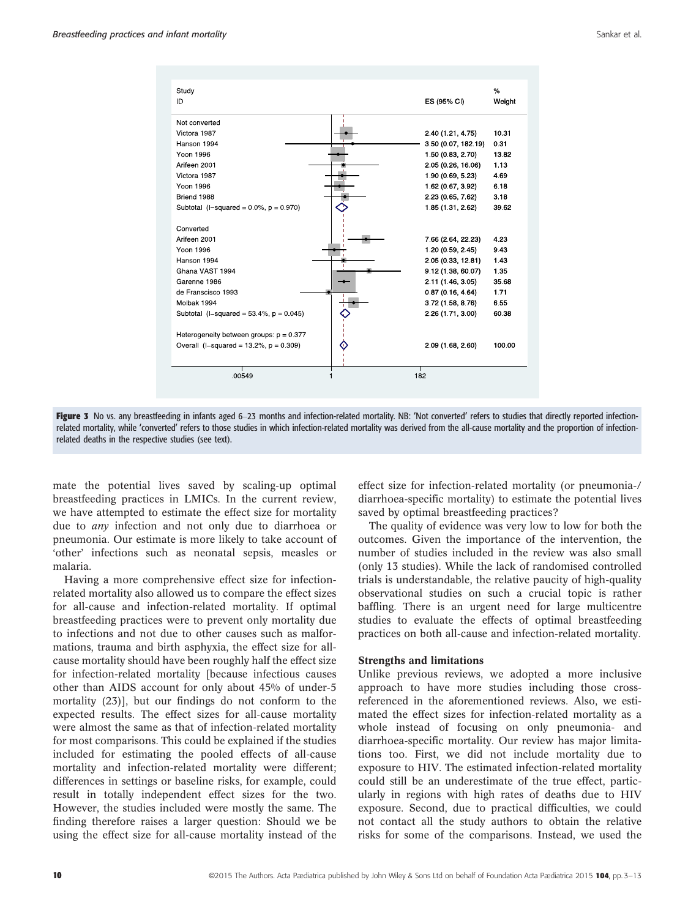| Study                                         |                     | %      |
|-----------------------------------------------|---------------------|--------|
| ID                                            | ES (95% CI)         | Weight |
|                                               |                     |        |
| Not converted                                 |                     |        |
| Victora 1987                                  | 2 40 (1 21, 4 75)   | 10.31  |
| Hanson 1994                                   | 3.50 (0.07, 182.19) | 0.31   |
| Yoon 1996                                     | 1.50 (0.83, 2.70)   | 13.82  |
| Arifeen 2001                                  | 2.05 (0.26, 16.06)  | 1.13   |
| Victora 1987                                  | 1.90 (0.69, 5.23)   | 4.69   |
| Yoon 1996                                     | 1.62 (0.67, 3.92)   | 6.18   |
| Briend 1988                                   | 2.23 (0.65, 7.62)   | 3 1 8  |
| Subtotal $(I - squared = 0.0\%, p = 0.970)$   | 1 85 (1 31, 2 62)   | 39.62  |
|                                               |                     |        |
| Converted                                     |                     |        |
| Arifeen 2001                                  | 7 66 (2 64, 22 23)  | 4.23   |
| Yoon 1996                                     | 1 20 (0.59, 2.45)   | 9.43   |
| Hanson 1994                                   | 2.05 (0.33, 12.81)  | 143    |
| Ghana VAST 1994                               | 9.12 (1.38, 60.07)  | 1.35   |
| Garenne 1986                                  | 2.11 (1.46, 3.05)   | 35.68  |
| de Franscisco 1993                            | 0.87(0.16, 4.64)    | 1.71   |
| Molbak 1994                                   | 3.72 (1.58, 8.76)   | 655    |
| Subtotal $(l$ -squared = 53 4%, $p = 0.045$ ) | 2.26 (1.71, 3.00)   | 60.38  |
|                                               |                     |        |
| Heterogeneity between groups: $p = 0.377$     |                     |        |
| Overall $(I - squared = 13.2\% , p = 0.309)$  | 2.09 (1.68, 2.60)   | 100.00 |
|                                               |                     |        |
|                                               |                     |        |
| 00549                                         | 182                 |        |
|                                               |                     |        |

Figure 3 No vs. any breastfeeding in infants aged 6-23 months and infection-related mortality. NB: 'Not converted' refers to studies that directly reported infectionrelated mortality, while 'converted' refers to those studies in which infection-related mortality was derived from the all-cause mortality and the proportion of infectionrelated deaths in the respective studies (see text).

mate the potential lives saved by scaling-up optimal breastfeeding practices in LMICs. In the current review, we have attempted to estimate the effect size for mortality due to any infection and not only due to diarrhoea or pneumonia. Our estimate is more likely to take account of 'other' infections such as neonatal sepsis, measles or malaria.

Having a more comprehensive effect size for infectionrelated mortality also allowed us to compare the effect sizes for all-cause and infection-related mortality. If optimal breastfeeding practices were to prevent only mortality due to infections and not due to other causes such as malformations, trauma and birth asphyxia, the effect size for allcause mortality should have been roughly half the effect size for infection-related mortality [because infectious causes other than AIDS account for only about 45% of under-5 mortality (23)], but our findings do not conform to the expected results. The effect sizes for all-cause mortality were almost the same as that of infection-related mortality for most comparisons. This could be explained if the studies included for estimating the pooled effects of all-cause mortality and infection-related mortality were different; differences in settings or baseline risks, for example, could result in totally independent effect sizes for the two. However, the studies included were mostly the same. The finding therefore raises a larger question: Should we be using the effect size for all-cause mortality instead of the effect size for infection-related mortality (or pneumonia-/ diarrhoea-specific mortality) to estimate the potential lives saved by optimal breastfeeding practices?

The quality of evidence was very low to low for both the outcomes. Given the importance of the intervention, the number of studies included in the review was also small (only 13 studies). While the lack of randomised controlled trials is understandable, the relative paucity of high-quality observational studies on such a crucial topic is rather baffling. There is an urgent need for large multicentre studies to evaluate the effects of optimal breastfeeding practices on both all-cause and infection-related mortality.

#### Strengths and limitations

Unlike previous reviews, we adopted a more inclusive approach to have more studies including those crossreferenced in the aforementioned reviews. Also, we estimated the effect sizes for infection-related mortality as a whole instead of focusing on only pneumonia- and diarrhoea-specific mortality. Our review has major limitations too. First, we did not include mortality due to exposure to HIV. The estimated infection-related mortality could still be an underestimate of the true effect, particularly in regions with high rates of deaths due to HIV exposure. Second, due to practical difficulties, we could not contact all the study authors to obtain the relative risks for some of the comparisons. Instead, we used the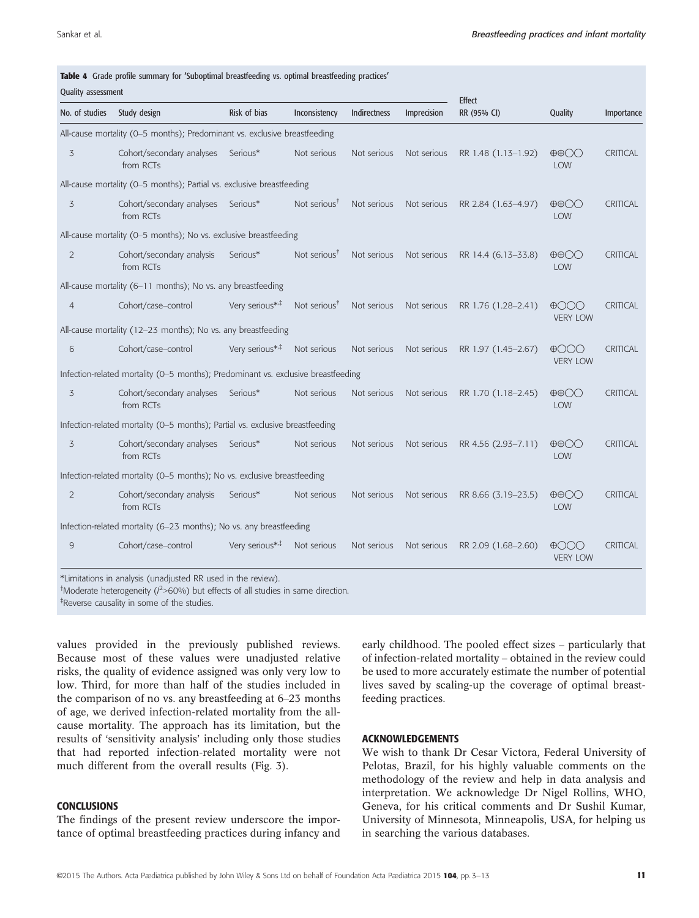| Quality assessment |                                                                                   |                            |                          |              |             | <b>Effect</b>       |                                                      |                 |
|--------------------|-----------------------------------------------------------------------------------|----------------------------|--------------------------|--------------|-------------|---------------------|------------------------------------------------------|-----------------|
| No. of studies     | Study design                                                                      | Risk of bias               | Inconsistency            | Indirectness | Imprecision | RR (95% CI)         | Quality                                              | Importance      |
|                    | All-cause mortality (0-5 months); Predominant vs. exclusive breastfeeding         |                            |                          |              |             |                     |                                                      |                 |
| 3                  | Cohort/secondary analyses<br>from RCTs                                            | Serious*                   | Not serious              | Not serious  | Not serious | RR 1.48 (1.13-1.92) | $\oplus$ $\oplus$ $\odot$<br><b>LOW</b>              | <b>CRITICAL</b> |
|                    | All-cause mortality (0-5 months); Partial vs. exclusive breastfeeding             |                            |                          |              |             |                     |                                                      |                 |
| 3                  | Cohort/secondary analyses Serious*<br>from RCTs                                   |                            | Not serious <sup>†</sup> | Not serious  | Not serious | RR 2.84 (1.63-4.97) | $\oplus$ $\oplus$ $\odot$<br>LOW                     | <b>CRITICAL</b> |
|                    | All-cause mortality (0-5 months); No vs. exclusive breastfeeding                  |                            |                          |              |             |                     |                                                      |                 |
| 2                  | Cohort/secondary analysis<br>from RCTs                                            | Serious*                   | Not serious $T$          | Not serious  | Not serious | RR 14.4 (6.13-33.8) | $\oplus$ $\oplus$ $\odot$<br>LOW                     | <b>CRITICAL</b> |
|                    | All-cause mortality (6-11 months); No vs. any breastfeeding                       |                            |                          |              |             |                     |                                                      |                 |
| $\overline{4}$     | Cohort/case-control                                                               | Very serious* <sup>*</sup> | Not serious <sup>†</sup> | Not serious  | Not serious | RR 1.76 (1.28-2.41) | $\bigoplus$<br><b>VERY LOW</b>                       | <b>CRITICAL</b> |
|                    | All-cause mortality (12-23 months); No vs. any breastfeeding                      |                            |                          |              |             |                     |                                                      |                 |
| 6                  | Cohort/case-control                                                               | Very serious* <sup>*</sup> | Not serious              | Not serious  | Not serious | RR 1.97 (1.45-2.67) | $\bigoplus$ $\bigodot$ $\bigodot$<br><b>VERY LOW</b> | <b>CRITICAL</b> |
|                    | Infection-related mortality (0-5 months); Predominant vs. exclusive breastfeeding |                            |                          |              |             |                     |                                                      |                 |
| 3                  | Cohort/secondary analyses<br>from RCTs                                            | Serious*                   | Not serious              | Not serious  | Not serious | RR 1.70 (1.18-2.45) | $\oplus$ $\oplus$ $\odot$<br>LOW                     | CRITICAL        |
|                    | Infection-related mortality (0-5 months); Partial vs. exclusive breastfeeding     |                            |                          |              |             |                     |                                                      |                 |
| 3                  | Cohort/secondary analyses Serious*<br>from RCTs                                   |                            | Not serious              | Not serious  | Not serious | RR 4.56 (2.93-7.11) | $\oplus$ OO<br>LOW                                   | CRITICAL        |
|                    | Infection-related mortality (0-5 months); No vs. exclusive breastfeeding          |                            |                          |              |             |                     |                                                      |                 |
| $\overline{2}$     | Cohort/secondary analysis<br>from RCTs                                            | Serious*                   | Not serious              | Not serious  | Not serious | RR 8.66 (3.19-23.5) | $\oplus$ $\oplus$ $\odot$<br>LOW                     | <b>CRITICAL</b> |
|                    | Infection-related mortality (6-23 months); No vs. any breastfeeding               |                            |                          |              |             |                     |                                                      |                 |
| 9                  | Cohort/case-control                                                               | Very serious* <sup>*</sup> | Not serious              | Not serious  | Not serious | RR 2.09 (1.68-2.60) | $\bigoplus$ $\bigodot$ $\bigodot$<br><b>VERY LOW</b> | <b>CRITICAL</b> |

<sup>†</sup>Moderate heterogeneity ( $l^2$ >60%) but effects of all studies in same direction.

‡ Reverse causality in some of the studies.

values provided in the previously published reviews. Because most of these values were unadjusted relative risks, the quality of evidence assigned was only very low to low. Third, for more than half of the studies included in the comparison of no vs. any breastfeeding at 6–23 months of age, we derived infection-related mortality from the allcause mortality. The approach has its limitation, but the results of 'sensitivity analysis' including only those studies that had reported infection-related mortality were not much different from the overall results (Fig. 3).

## **CONCLUSIONS**

The findings of the present review underscore the importance of optimal breastfeeding practices during infancy and early childhood. The pooled effect sizes – particularly that of infection-related mortality – obtained in the review could be used to more accurately estimate the number of potential lives saved by scaling-up the coverage of optimal breastfeeding practices.

### ACKNOWLEDGEMENTS

We wish to thank Dr Cesar Victora, Federal University of Pelotas, Brazil, for his highly valuable comments on the methodology of the review and help in data analysis and interpretation. We acknowledge Dr Nigel Rollins, WHO, Geneva, for his critical comments and Dr Sushil Kumar, University of Minnesota, Minneapolis, USA, for helping us in searching the various databases.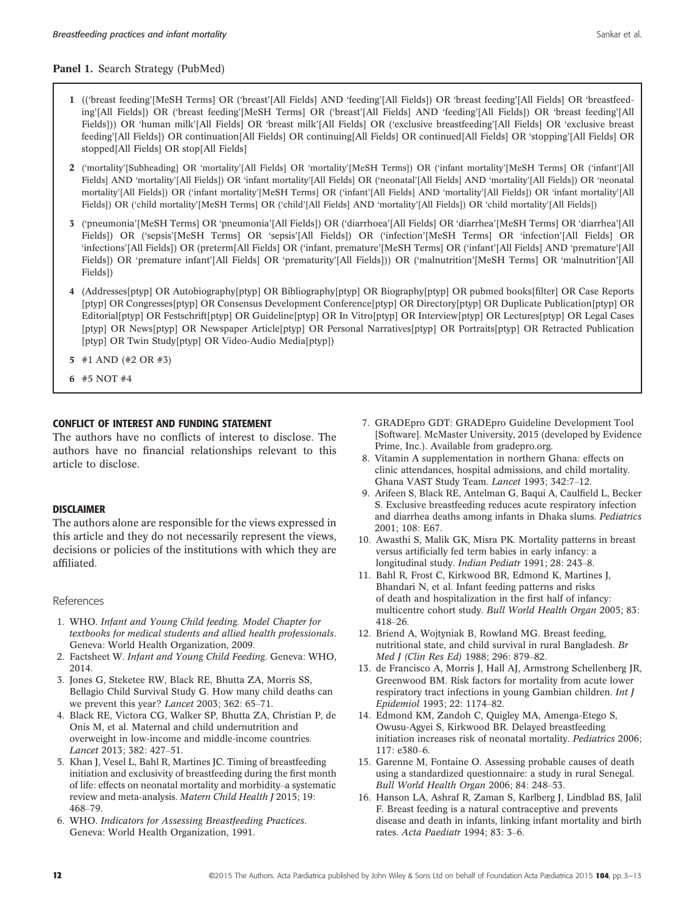## Panel 1. Search Strategy (PubMed)

- 1 (('breast feeding'[MeSH Terms] OR ('breast'[All Fields] AND 'feeding'[All Fields]) OR 'breast feeding'[All Fields] OR 'breastfeeding'[All Fields]) OR ('breast feeding'[MeSH Terms] OR ('breast'[All Fields] AND 'feeding'[All Fields]) OR 'breast feeding'[All Fields])) OR 'human milk'[All Fields] OR 'breast milk'[All Fields] OR ('exclusive breastfeeding'[All Fields] OR 'exclusive breast feeding'[All Fields]) OR continuation[All Fields] OR continuing[All Fields] OR continued[All Fields] OR 'stopping'[All Fields] OR stopped[All Fields] OR stop[All Fields]
- 2 ('mortality'[Subheading] OR 'mortality'[All Fields] OR 'mortality'[MeSH Terms]) OR ('infant mortality'[MeSH Terms] OR ('infant'[All Fields] AND 'mortality'[All Fields]) OR 'infant mortality'[All Fields] OR ('neonatal'[All Fields] AND 'mortality'[All Fields]) OR 'neonatal mortality'[All Fields]) OR ('infant mortality'[MeSH Terms] OR ('infant'[All Fields] AND 'mortality'[All Fields]) OR 'infant mortality'[All Fields]) OR ('child mortality'[MeSH Terms] OR ('child'[All Fields] AND 'mortality'[All Fields]) OR 'child mortality'[All Fields])
- 3 ('pneumonia'[MeSH Terms] OR 'pneumonia'[All Fields]) OR ('diarrhoea'[All Fields] OR 'diarrhea'[MeSH Terms] OR 'diarrhea'[All Fields]) OR ('sepsis'[MeSH Terms] OR 'sepsis'[All Fields]) OR ('infection'[MeSH Terms] OR 'infection'[All Fields] OR 'infections'[All Fields]) OR (preterm[All Fields] OR ('infant, premature'[MeSH Terms] OR ('infant'[All Fields] AND 'premature'[All Fields]) OR 'premature infant'[All Fields] OR 'prematurity'[All Fields])) OR ('malnutrition'[MeSH Terms] OR 'malnutrition'[All Fields])
- 4 (Addresses[ptyp] OR Autobiography[ptyp] OR Bibliography[ptyp] OR Biography[ptyp] OR pubmed books[filter] OR Case Reports [ptyp] OR Congresses[ptyp] OR Consensus Development Conference[ptyp] OR Directory[ptyp] OR Duplicate Publication[ptyp] OR Editorial[ptyp] OR Festschrift[ptyp] OR Guideline[ptyp] OR In Vitro[ptyp] OR Interview[ptyp] OR Lectures[ptyp] OR Legal Cases [ptyp] OR News[ptyp] OR Newspaper Article[ptyp] OR Personal Narratives[ptyp] OR Portraits[ptyp] OR Retracted Publication [ptyp] OR Twin Study[ptyp] OR Video-Audio Media[ptyp])
- 5 #1 AND (#2 OR #3)
- 6 #5 NOT #4

## CONFLICT OF INTEREST AND FUNDING STATEMENT

The authors have no conflicts of interest to disclose. The authors have no financial relationships relevant to this article to disclose.

## DISCLAIMER

The authors alone are responsible for the views expressed in this article and they do not necessarily represent the views, decisions or policies of the institutions with which they are affiliated.

#### References

- 1. WHO. Infant and Young Child feeding. Model Chapter for textbooks for medical students and allied health professionals. Geneva: World Health Organization, 2009.
- 2. Factsheet W. Infant and Young Child Feeding. Geneva: WHO, 2014.
- 3. Jones G, Steketee RW, Black RE, Bhutta ZA, Morris SS, Bellagio Child Survival Study G. How many child deaths can we prevent this year? Lancet 2003; 362: 65–71.
- 4. Black RE, Victora CG, Walker SP, Bhutta ZA, Christian P, de Onis M, et al. Maternal and child undernutrition and overweight in low-income and middle-income countries. Lancet 2013; 382: 427–51.
- 5. Khan J, Vesel L, Bahl R, Martines JC. Timing of breastfeeding initiation and exclusivity of breastfeeding during the first month of life: effects on neonatal mortality and morbidity–a systematic review and meta-analysis. Matern Child Health J 2015; 19: 468–79.
- 6. WHO. Indicators for Assessing Breastfeeding Practices. Geneva: World Health Organization, 1991.
- 7. GRADEpro GDT: GRADEpro Guideline Development Tool [Software]. McMaster University, 2015 (developed by Evidence Prime, Inc.). Available from<gradepro.org>.
- 8. Vitamin A supplementation in northern Ghana: effects on clinic attendances, hospital admissions, and child mortality. Ghana VAST Study Team. Lancet 1993; 342:7–12.
- 9. Arifeen S, Black RE, Antelman G, Baqui A, Caulfield L, Becker S. Exclusive breastfeeding reduces acute respiratory infection and diarrhea deaths among infants in Dhaka slums. Pediatrics 2001; 108: E67.
- 10. Awasthi S, Malik GK, Misra PK. Mortality patterns in breast versus artificially fed term babies in early infancy: a longitudinal study. Indian Pediatr 1991; 28: 243–8.
- 11. Bahl R, Frost C, Kirkwood BR, Edmond K, Martines J, Bhandari N, et al. Infant feeding patterns and risks of death and hospitalization in the first half of infancy: multicentre cohort study. Bull World Health Organ 2005; 83: 418–26.
- 12. Briend A, Wojtyniak B, Rowland MG. Breast feeding, nutritional state, and child survival in rural Bangladesh. Br Med J (Clin Res Ed) 1988; 296: 879–82.
- 13. de Francisco A, Morris J, Hall AJ, Armstrong Schellenberg JR, Greenwood BM. Risk factors for mortality from acute lower respiratory tract infections in young Gambian children. Int J Epidemiol 1993; 22: 1174–82.
- 14. Edmond KM, Zandoh C, Quigley MA, Amenga-Etego S, Owusu-Agyei S, Kirkwood BR. Delayed breastfeeding initiation increases risk of neonatal mortality. Pediatrics 2006;  $117: e380 - 6$
- 15. Garenne M, Fontaine O. Assessing probable causes of death using a standardized questionnaire: a study in rural Senegal. Bull World Health Organ 2006; 84: 248–53.
- 16. Hanson LA, Ashraf R, Zaman S, Karlberg J, Lindblad BS, Jalil F. Breast feeding is a natural contraceptive and prevents disease and death in infants, linking infant mortality and birth rates. Acta Paediatr 1994; 83: 3–6.